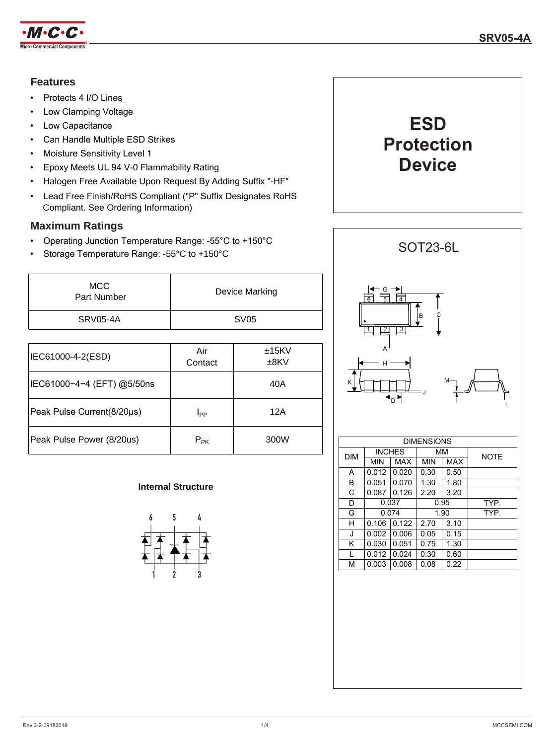

### **Features**

- Protects 4 I/O Lines
- Low Clamping Voltage
- Low Capacitance
- Can Handle Multiple ESD Strikes
- Moisture Sensitivity Level 1
- Epoxy Meets UL 94 V-0 Flammability Rating
- Halogen Free Available Upon Request By Adding Suffix "-HF"
- Lead Free Finish/RoHS Compliant ("P" Suffix Designates RoHS Compliant. See Ordering Information)

## **Maximum Ratings**

- Operating Junction Temperature Range: -55°C to +150°C
- Storage Temperature Range: -55°C to +150°C

| <b>MCC</b><br>Part Number | Device Marking |
|---------------------------|----------------|
| SRV05-4A                  | <b>SV05</b>    |

| IEC61000-4-2(ESD)          | Air<br>Contact | ±15KV<br>$±8$ KV |
|----------------------------|----------------|------------------|
| IEC61000-4-4 (EFT) @5/50ns |                | 40A              |
| Peak Pulse Current(8/20µs) | $I_{PP}$       | 12A              |
| Peak Pulse Power (8/20us)  | $P_{PK}$       | 300W             |

### **Internal Structure**







| <b>DIMENSIONS</b> |               |            |            |      |             |
|-------------------|---------------|------------|------------|------|-------------|
| <b>DIM</b>        | <b>INCHES</b> |            | MМ         |      | <b>NOTE</b> |
|                   | <b>MIN</b>    | <b>MAX</b> | <b>MIN</b> | MAX  |             |
| A                 | 0.012         | 0.020      | 0.30       | 0.50 |             |
| В                 | 0.051         | 0.070      | 1.30       | 1.80 |             |
| C                 | 0.087         | 0.126      | 2.20       | 3.20 |             |
| D                 | 0.037         |            | 0.95       |      | TYP.        |
| G                 | 0.074         |            | 1.90       |      | TYP.        |
| н                 | 0.106         | 0.122      | 2.70       | 3.10 |             |
| J                 | 0.002         | 0.006      | 0.05       | 0.15 |             |
| Κ                 | 0.030         | 0.051      | 0.75       | 1.30 |             |
| L                 | 0.012         | 0.024      | 0.30       | 0.60 |             |
| М                 | 0.003         | 0.008      | 0.08       | 0.22 |             |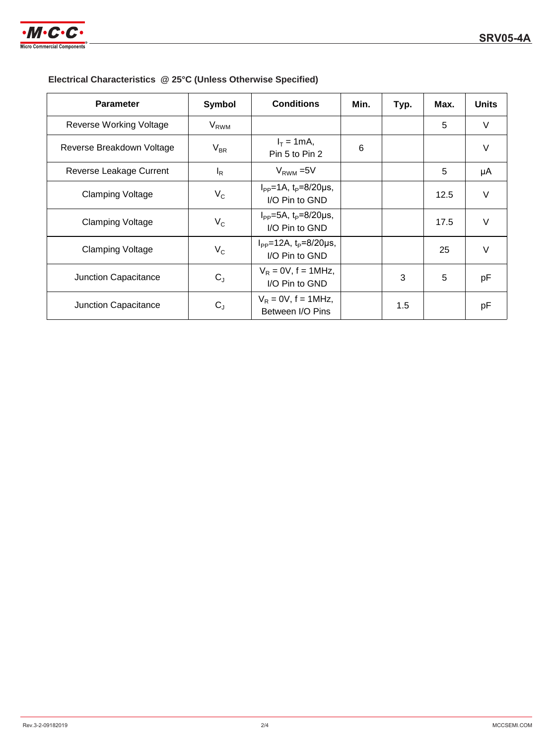

| Electrical Characteristics @ 25°C (Unless Otherwise Specified) |  |  |
|----------------------------------------------------------------|--|--|
|----------------------------------------------------------------|--|--|

| <b>Parameter</b>          | Symbol                 | <b>Conditions</b>                                       | Min. | Typ. | Max. | <b>Units</b> |
|---------------------------|------------------------|---------------------------------------------------------|------|------|------|--------------|
| Reverse Working Voltage   | <b>V<sub>RWM</sub></b> |                                                         |      |      | 5    | $\vee$       |
| Reverse Breakdown Voltage | $V_{BR}$               | $I_T = 1 \text{ mA}$ ,<br>Pin 5 to Pin 2                | 6    |      |      | V            |
| Reverse Leakage Current   | $I_R$                  | $V_{RWM}$ = 5V                                          |      |      | 5    | μA           |
| <b>Clamping Voltage</b>   | $V_{C}$                | $I_{PP} = 1A$ , $t_P = 8/20 \mu s$ ,<br>I/O Pin to GND  |      |      | 12.5 | V            |
| <b>Clamping Voltage</b>   | $V_C$                  | $I_{PP} = 5A$ , $t_P = 8/20 \mu s$ ,<br>I/O Pin to GND  |      |      | 17.5 | $\vee$       |
| <b>Clamping Voltage</b>   | $V_{C}$                | $I_{PP} = 12A$ , $t_P = 8/20 \mu s$ ,<br>I/O Pin to GND |      |      | 25   | V            |
| Junction Capacitance      | $C_{J}$                | $V_R = 0V$ , f = 1MHz,<br>I/O Pin to GND                |      | 3    | 5    | pF           |
| Junction Capacitance      | $C_{J}$                | $V_R = 0V$ , f = 1MHz,<br>Between I/O Pins              |      | 1.5  |      | pF           |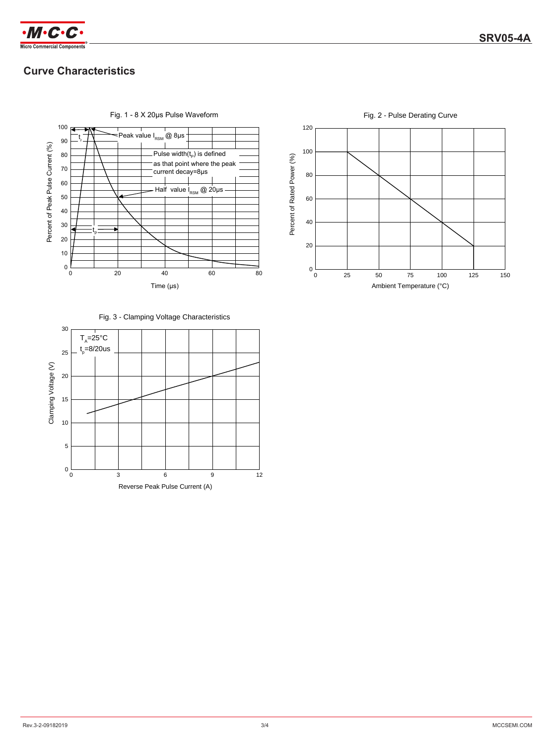

# **Curve Characteristics**



Fig. 1 - 8 X 20μs Pulse Waveform



Fig. 2 - Pulse Derating Curve

120

Fig. 3 - Clamping Voltage Characteristics